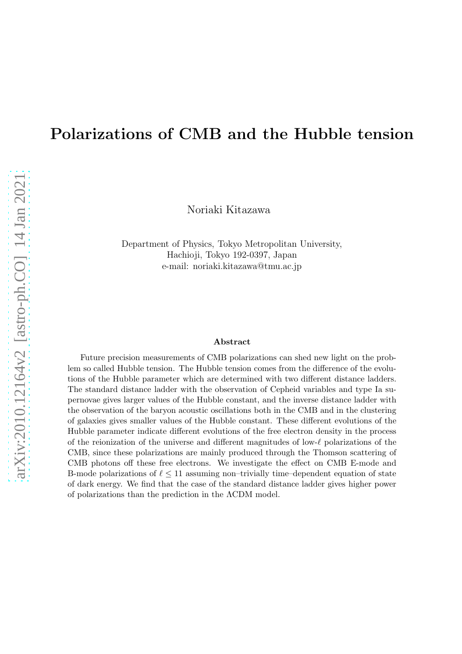# Polarizations of CMB and the Hubble tension

Noriaki Kitazawa

Department of Physics, Tokyo Metropolitan University, Hachioji, Tokyo 192-0397, Japan e-mail: noriaki.kitazawa@tmu.ac.jp

#### Abstract

Future precision measurements of CMB polarizations can shed new light on the problem so called Hubble tension. The Hubble tension comes from the difference of the evolutions of the Hubble parameter which are determined with two different distance ladders. The standard distance ladder with the observation of Cepheid variables and type Ia supernovae gives larger values of the Hubble constant, and the inverse distance ladder with the observation of the baryon acoustic oscillations both in the CMB and in the clustering of galaxies gives smaller values of the Hubble constant. These different evolutions of the Hubble parameter indicate different evolutions of the free electron density in the process of the reionization of the universe and different magnitudes of low- $\ell$  polarizations of the CMB, since these polarizations are mainly produced through the Thomson scattering of CMB photons off these free electrons. We investigate the effect on CMB E-mode and B-mode polarizations of  $\ell \leq 11$  assuming non-trivially time-dependent equation of state of dark energy. We find that the case of the standard distance ladder gives higher power of polarizations than the prediction in the ΛCDM model.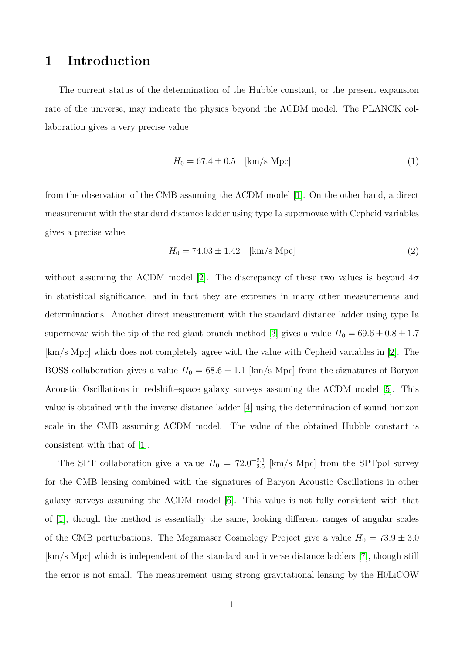# 1 Introduction

The current status of the determination of the Hubble constant, or the present expansion rate of the universe, may indicate the physics beyond the ΛCDM model. The PLANCK collaboration gives a very precise value

$$
H_0 = 67.4 \pm 0.5 \quad [\text{km/s Mpc}] \tag{1}
$$

from the observation of the CMB assuming the ΛCDM model [\[1\]](#page-22-0). On the other hand, a direct measurement with the standard distance ladder using type Ia supernovae with Cepheid variables gives a precise value

$$
H_0 = 74.03 \pm 1.42 \quad [\text{km/s Mpc}] \tag{2}
$$

without assuming the  $\Lambda$ CDM model [\[2\]](#page-22-1). The discrepancy of these two values is beyond  $4\sigma$ in statistical significance, and in fact they are extremes in many other measurements and determinations. Another direct measurement with the standard distance ladder using type Ia supernovae with the tip of the red giant branch method [\[3\]](#page-23-0) gives a value  $H_0 = 69.6 \pm 0.8 \pm 1.7$ [km/s Mpc] which does not completely agree with the value with Cepheid variables in [\[2\]](#page-22-1). The BOSS collaboration gives a value  $H_0 = 68.6 \pm 1.1$  [km/s Mpc] from the signatures of Baryon Acoustic Oscillations in redshift–space galaxy surveys assuming the ΛCDM model [\[5\]](#page-23-1). This value is obtained with the inverse distance ladder [\[4\]](#page-23-2) using the determination of sound horizon scale in the CMB assuming ΛCDM model. The value of the obtained Hubble constant is consistent with that of [\[1\]](#page-22-0).

The SPT collaboration give a value  $H_0 = 72.0^{+2.1}_{-2.5}$  [km/s Mpc] from the SPTpol survey for the CMB lensing combined with the signatures of Baryon Acoustic Oscillations in other galaxy surveys assuming the ΛCDM model [\[6\]](#page-23-3). This value is not fully consistent with that of [\[1\]](#page-22-0), though the method is essentially the same, looking different ranges of angular scales of the CMB perturbations. The Megamaser Cosmology Project give a value  $H_0 = 73.9 \pm 3.0$ [km/s Mpc] which is independent of the standard and inverse distance ladders [\[7\]](#page-23-4), though still the error is not small. The measurement using strong gravitational lensing by the H0LiCOW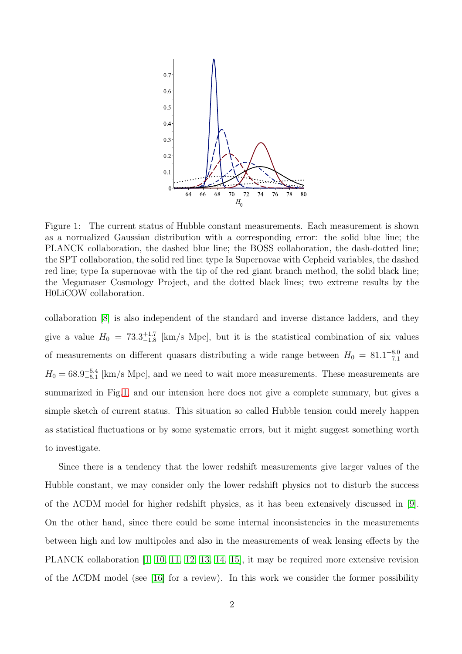

<span id="page-2-0"></span>Figure 1: The current status of Hubble constant measurements. Each measurement is shown as a normalized Gaussian distribution with a corresponding error: the solid blue line; the PLANCK collaboration, the dashed blue line; the BOSS collaboration, the dash-dotted line; the SPT collaboration, the solid red line; type Ia Supernovae with Cepheid variables, the dashed red line; type Ia supernovae with the tip of the red giant branch method, the solid black line; the Megamaser Cosmology Project, and the dotted black lines; two extreme results by the H0LiCOW collaboration.

collaboration [\[8\]](#page-23-5) is also independent of the standard and inverse distance ladders, and they give a value  $H_0 = 73.3_{-1.8}^{+1.7}$  [km/s Mpc], but it is the statistical combination of six values of measurements on different quasars distributing a wide range between  $H_0 = 81.1^{+8.0}_{-7.1}$  and  $H_0 = 68.9^{+5.4}_{-5.1}$  [km/s Mpc], and we need to wait more measurements. These measurements are summarized in Fig[.1,](#page-2-0) and our intension here does not give a complete summary, but gives a simple sketch of current status. This situation so called Hubble tension could merely happen as statistical fluctuations or by some systematic errors, but it might suggest something worth to investigate.

Since there is a tendency that the lower redshift measurements give larger values of the Hubble constant, we may consider only the lower redshift physics not to disturb the success of the ΛCDM model for higher redshift physics, as it has been extensively discussed in [\[9\]](#page-23-6). On the other hand, since there could be some internal inconsistencies in the measurements between high and low multipoles and also in the measurements of weak lensing effects by the PLANCK collaboration [\[1,](#page-22-0) [10,](#page-24-0) [11,](#page-24-1) [12,](#page-24-2) [13,](#page-24-3) [14,](#page-24-4) [15\]](#page-24-5), it may be required more extensive revision of the ΛCDM model (see [\[16\]](#page-24-6) for a review). In this work we consider the former possibility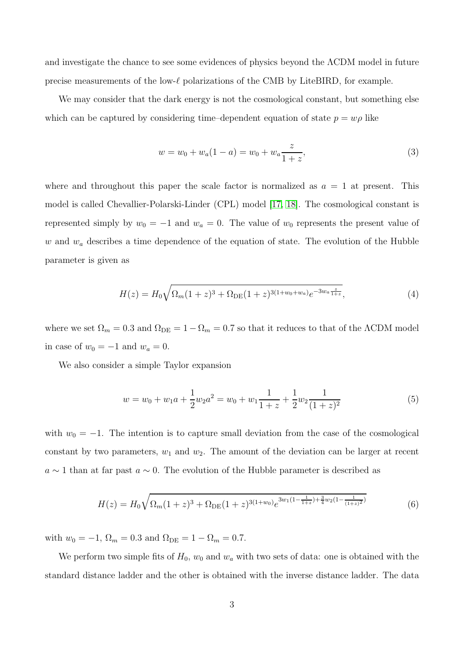and investigate the chance to see some evidences of physics beyond the ΛCDM model in future precise measurements of the low- $\ell$  polarizations of the CMB by LiteBIRD, for example.

We may consider that the dark energy is not the cosmological constant, but something else which can be captured by considering time–dependent equation of state  $p = w\rho$  like

$$
w = w_0 + w_a(1 - a) = w_0 + w_a \frac{z}{1 + z},
$$
\n(3)

where and throughout this paper the scale factor is normalized as  $a = 1$  at present. This model is called Chevallier-Polarski-Linder (CPL) model [\[17,](#page-24-7) [18\]](#page-24-8). The cosmological constant is represented simply by  $w_0 = -1$  and  $w_a = 0$ . The value of  $w_0$  represents the present value of w and  $w_a$  describes a time dependence of the equation of state. The evolution of the Hubble parameter is given as

<span id="page-3-0"></span>
$$
H(z) = H_0 \sqrt{\Omega_m (1+z)^3 + \Omega_{DE} (1+z)^{3(1+w_0+w_a)} e^{-3w_a \frac{z}{1+z}}},\tag{4}
$$

where we set  $\Omega_m = 0.3$  and  $\Omega_{\text{DE}} = 1 - \Omega_m = 0.7$  so that it reduces to that of the  $\Lambda$ CDM model in case of  $w_0 = -1$  and  $w_a = 0$ .

We also consider a simple Taylor expansion

$$
w = w_0 + w_1 a + \frac{1}{2} w_2 a^2 = w_0 + w_1 \frac{1}{1+z} + \frac{1}{2} w_2 \frac{1}{(1+z)^2}
$$
(5)

with  $w_0 = -1$ . The intention is to capture small deviation from the case of the cosmological constant by two parameters,  $w_1$  and  $w_2$ . The amount of the deviation can be larger at recent  $a \sim 1$  than at far past  $a \sim 0$ . The evolution of the Hubble parameter is described as

$$
H(z) = H_0 \sqrt{\Omega_m (1+z)^3 + \Omega_{DE} (1+z)^{3(1+w_0)} e^{3w_1(1-\frac{1}{1+z}) + \frac{3}{4}w_2(1-\frac{1}{(1+z)^2})}}
$$
(6)

with  $w_0 = -1$ ,  $\Omega_m = 0.3$  and  $\Omega_{DE} = 1 - \Omega_m = 0.7$ .

We perform two simple fits of  $H_0$ ,  $w_0$  and  $w_a$  with two sets of data: one is obtained with the standard distance ladder and the other is obtained with the inverse distance ladder. The data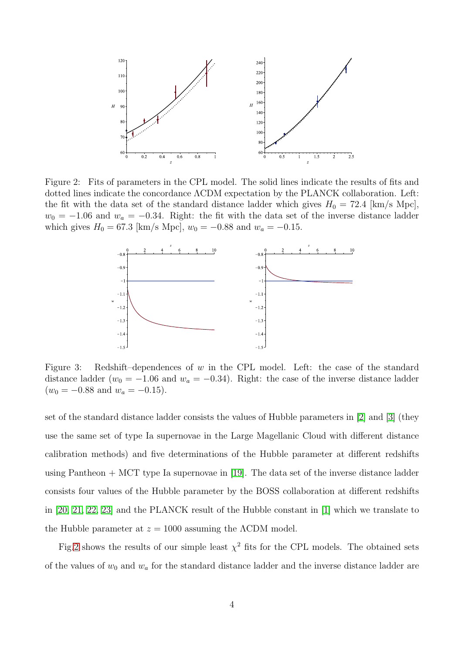

<span id="page-4-0"></span>Figure 2: Fits of parameters in the CPL model. The solid lines indicate the results of fits and dotted lines indicate the concordance ΛCDM expectation by the PLANCK collaboration. Left: the fit with the data set of the standard distance ladder which gives  $H_0 = 72.4$  [km/s Mpc],  $w_0 = -1.06$  and  $w_a = -0.34$ . Right: the fit with the data set of the inverse distance ladder which gives  $H_0 = 67.3$  [km/s Mpc],  $w_0 = -0.88$  and  $w_a = -0.15$ .



<span id="page-4-1"></span>Figure 3: Redshift–dependences of w in the CPL model. Left: the case of the standard distance ladder ( $w_0 = -1.06$  and  $w_a = -0.34$ ). Right: the case of the inverse distance ladder  $(w_0 = -0.88$  and  $w_a = -0.15)$ .

set of the standard distance ladder consists the values of Hubble parameters in [\[2\]](#page-22-1) and [\[3\]](#page-23-0) (they use the same set of type Ia supernovae in the Large Magellanic Cloud with different distance calibration methods) and five determinations of the Hubble parameter at different redshifts using Pantheon + MCT type Ia supernovae in [\[19\]](#page-24-9). The data set of the inverse distance ladder consists four values of the Hubble parameter by the BOSS collaboration at different redshifts in [\[20,](#page-25-0) [21,](#page-25-1) [22,](#page-25-2) [23\]](#page-25-3) and the PLANCK result of the Hubble constant in [\[1\]](#page-22-0) which we translate to the Hubble parameter at  $z = 1000$  assuming the  $\Lambda$ CDM model.

Fig[.2](#page-4-0) shows the results of our simple least  $\chi^2$  fits for the CPL models. The obtained sets of the values of  $w_0$  and  $w_a$  for the standard distance ladder and the inverse distance ladder are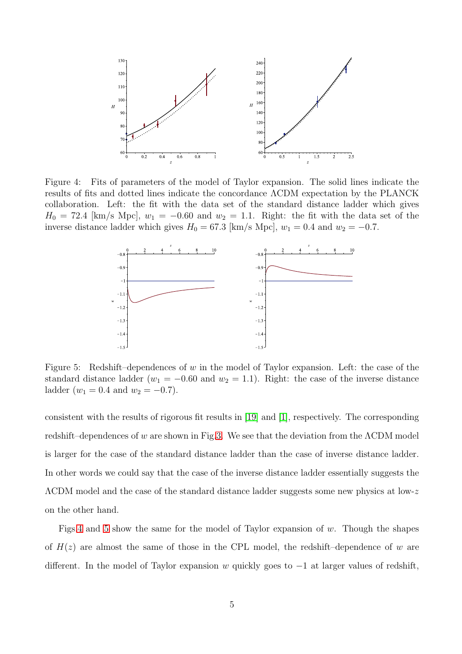

<span id="page-5-0"></span>Figure 4: Fits of parameters of the model of Taylor expansion. The solid lines indicate the results of fits and dotted lines indicate the concordance ΛCDM expectation by the PLANCK collaboration. Left: the fit with the data set of the standard distance ladder which gives  $H_0 = 72.4$  [km/s Mpc],  $w_1 = -0.60$  and  $w_2 = 1.1$ . Right: the fit with the data set of the inverse distance ladder which gives  $H_0 = 67.3$  [km/s Mpc],  $w_1 = 0.4$  and  $w_2 = -0.7$ .



<span id="page-5-1"></span>Figure 5: Redshift–dependences of w in the model of Taylor expansion. Left: the case of the standard distance ladder ( $w_1 = -0.60$  and  $w_2 = 1.1$ ). Right: the case of the inverse distance ladder  $(w_1 = 0.4$  and  $w_2 = -0.7)$ .

consistent with the results of rigorous fit results in [\[19\]](#page-24-9) and [\[1\]](#page-22-0), respectively. The corresponding redshift–dependences of w are shown in Fig[.3.](#page-4-1) We see that the deviation from the  $\Lambda$ CDM model is larger for the case of the standard distance ladder than the case of inverse distance ladder. In other words we could say that the case of the inverse distance ladder essentially suggests the ΛCDM model and the case of the standard distance ladder suggests some new physics at low-z on the other hand.

Figs[.4](#page-5-0) and [5](#page-5-1) show the same for the model of Taylor expansion of w. Though the shapes of  $H(z)$  are almost the same of those in the CPL model, the redshift–dependence of w are different. In the model of Taylor expansion w quickly goes to  $-1$  at larger values of redshift,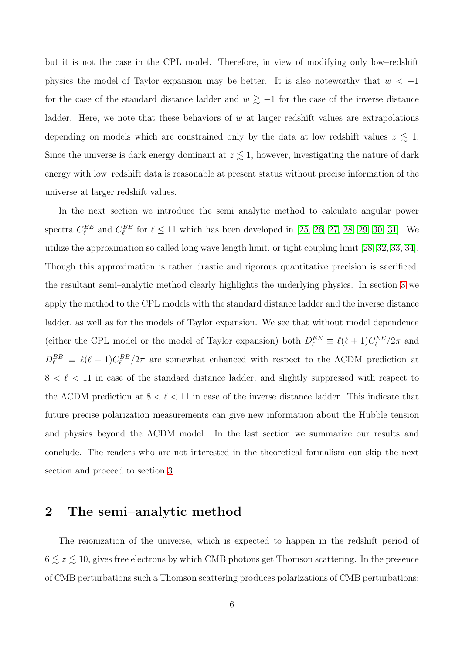but it is not the case in the CPL model. Therefore, in view of modifying only low–redshift physics the model of Taylor expansion may be better. It is also noteworthy that  $w < -1$ for the case of the standard distance ladder and  $w \gtrsim -1$  for the case of the inverse distance ladder. Here, we note that these behaviors of  $w$  at larger redshift values are extrapolations depending on models which are constrained only by the data at low redshift values  $z \lesssim 1$ . Since the universe is dark energy dominant at  $z \lesssim 1$ , however, investigating the nature of dark energy with low–redshift data is reasonable at present status without precise information of the universe at larger redshift values.

In the next section we introduce the semi–analytic method to calculate angular power spectra  $C_{\ell}^{EE}$  and  $C_{\ell}^{BB}$  for  $\ell \leq 11$  which has been developed in [\[25,](#page-26-0) [26,](#page-26-1) [27,](#page-26-2) [28,](#page-26-3) [29,](#page-26-4) [30,](#page-26-5) [31\]](#page-26-6). We utilize the approximation so called long wave length limit, or tight coupling limit [\[28,](#page-26-3) [32,](#page-26-7) [33,](#page-26-8) [34\]](#page-27-0). Though this approximation is rather drastic and rigorous quantitative precision is sacrificed, the resultant semi–analytic method clearly highlights the underlying physics. In section [3](#page-15-0) we apply the method to the CPL models with the standard distance ladder and the inverse distance ladder, as well as for the models of Taylor expansion. We see that without model dependence (either the CPL model or the model of Taylor expansion) both  $D_{\ell}^{EE} \equiv \ell(\ell+1)C_{\ell}^{EE}/2\pi$  and  $D_{\ell}^{BB} \equiv \ell(\ell+1)C_{\ell}^{BB}/2\pi$  are somewhat enhanced with respect to the  $\Lambda$ CDM prediction at  $8 < \ell < 11$  in case of the standard distance ladder, and slightly suppressed with respect to the  $\Lambda$ CDM prediction at  $8 < \ell < 11$  in case of the inverse distance ladder. This indicate that future precise polarization measurements can give new information about the Hubble tension and physics beyond the ΛCDM model. In the last section we summarize our results and conclude. The readers who are not interested in the theoretical formalism can skip the next section and proceed to section [3.](#page-15-0)

#### 2 The semi–analytic method

The reionization of the universe, which is expected to happen in the redshift period of  $6 \lesssim z \lesssim 10,$  gives free electrons by which CMB photons get Thomson scattering. In the presence of CMB perturbations such a Thomson scattering produces polarizations of CMB perturbations: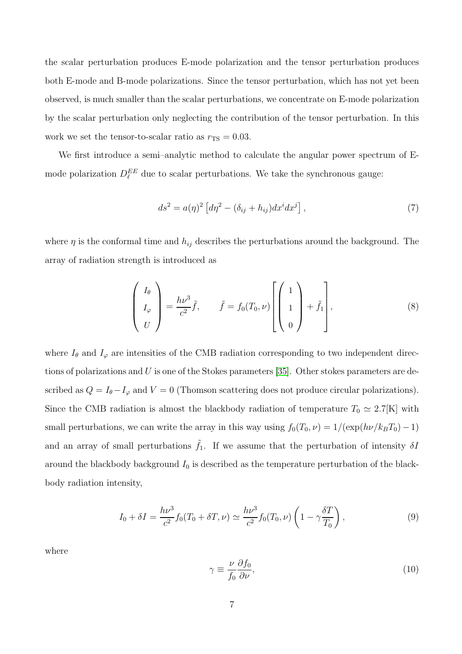the scalar perturbation produces E-mode polarization and the tensor perturbation produces both E-mode and B-mode polarizations. Since the tensor perturbation, which has not yet been observed, is much smaller than the scalar perturbations, we concentrate on E-mode polarization by the scalar perturbation only neglecting the contribution of the tensor perturbation. In this work we set the tensor-to-scalar ratio as  $r_{\text{TS}} = 0.03$ .

We first introduce a semi–analytic method to calculate the angular power spectrum of Emode polarization  $D_{\ell}^{EE}$  due to scalar perturbations. We take the synchronous gauge:

<span id="page-7-1"></span>
$$
ds2 = a(\eta)2 \left[ d\eta2 - (\delta_{ij} + h_{ij}) dxi dxj \right],
$$
\n(7)

where  $\eta$  is the conformal time and  $h_{ij}$  describes the perturbations around the background. The array of radiation strength is introduced as

$$
\begin{pmatrix} I_{\theta} \\ I_{\varphi} \\ U \end{pmatrix} = \frac{h\nu^3}{c^2} \tilde{f}, \qquad \tilde{f} = f_0(T_0, \nu) \begin{bmatrix} 1 \\ 1 \\ 0 \end{bmatrix} + \tilde{f}_1 , \qquad (8)
$$

where  $I_{\theta}$  and  $I_{\varphi}$  are intensities of the CMB radiation corresponding to two independent directions of polarizations and  $U$  is one of the Stokes parameters [\[35\]](#page-27-1). Other stokes parameters are described as  $Q = I_{\theta} - I_{\varphi}$  and  $V = 0$  (Thomson scattering does not produce circular polarizations). Since the CMB radiation is almost the blackbody radiation of temperature  $T_0 \simeq 2.7[K]$  with small perturbations, we can write the array in this way using  $f_0(T_0, \nu) = 1/(\exp(h\nu/k_BT_0)-1)$ and an array of small perturbations  $\tilde{f}_1$ . If we assume that the perturbation of intensity  $\delta I$ around the blackbody background  $I_0$  is described as the temperature perturbation of the blackbody radiation intensity,

<span id="page-7-0"></span>
$$
I_0 + \delta I = \frac{h\nu^3}{c^2} f_0(T_0 + \delta T, \nu) \simeq \frac{h\nu^3}{c^2} f_0(T_0, \nu) \left(1 - \gamma \frac{\delta T}{T_0}\right),\tag{9}
$$

where

$$
\gamma \equiv \frac{\nu}{f_0} \frac{\partial f_0}{\partial \nu},\tag{10}
$$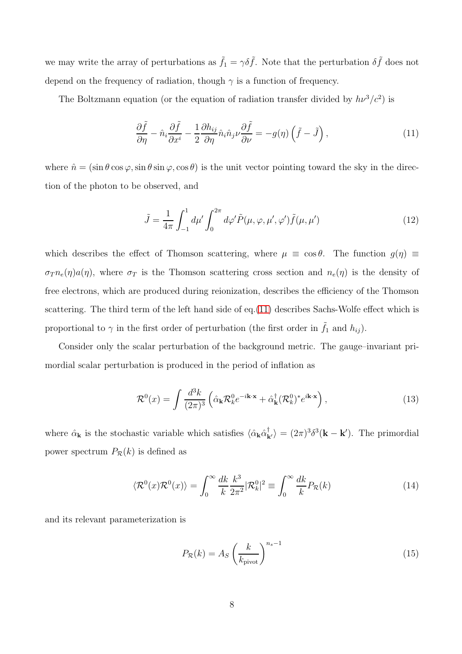we may write the array of perturbations as  $\tilde{f}_1 = \gamma \delta \tilde{f}$ . Note that the perturbation  $\delta \tilde{f}$  does not depend on the frequency of radiation, though  $\gamma$  is a function of frequency.

The Boltzmann equation (or the equation of radiation transfer divided by  $h\nu^3/c^2$ ) is

<span id="page-8-0"></span>
$$
\frac{\partial \tilde{f}}{\partial \eta} - \hat{n}_i \frac{\partial \tilde{f}}{\partial x^i} - \frac{1}{2} \frac{\partial h_{ij}}{\partial \eta} \hat{n}_i \hat{n}_j \nu \frac{\partial \tilde{f}}{\partial \nu} = -g(\eta) \left( \tilde{f} - \tilde{J} \right),\tag{11}
$$

where  $\hat{n} = (\sin \theta \cos \varphi, \sin \theta \sin \varphi, \cos \theta)$  is the unit vector pointing toward the sky in the direction of the photon to be observed, and

$$
\tilde{J} = \frac{1}{4\pi} \int_{-1}^{1} d\mu' \int_{0}^{2\pi} d\varphi' \tilde{P}(\mu, \varphi, \mu', \varphi') \tilde{f}(\mu, \mu')
$$
(12)

which describes the effect of Thomson scattering, where  $\mu \equiv \cos \theta$ . The function  $g(\eta) \equiv$  $\sigma_T n_e(\eta) a(\eta)$ , where  $\sigma_T$  is the Thomson scattering cross section and  $n_e(\eta)$  is the density of free electrons, which are produced during reionization, describes the efficiency of the Thomson scattering. The third term of the left hand side of eq.[\(11\)](#page-8-0) describes Sachs-Wolfe effect which is proportional to  $\gamma$  in the first order of perturbation (the first order in  $\tilde{f}_1$  and  $h_{ij}$ ).

Consider only the scalar perturbation of the background metric. The gauge–invariant primordial scalar perturbation is produced in the period of inflation as

$$
\mathcal{R}^0(x) = \int \frac{d^3k}{(2\pi)^3} \left( \hat{\alpha}_k \mathcal{R}_k^0 e^{-i\mathbf{k}\cdot\mathbf{x}} + \hat{\alpha}_k^\dagger (\mathcal{R}_k^0)^* e^{i\mathbf{k}\cdot\mathbf{x}} \right),\tag{13}
$$

where  $\hat{\alpha}_{\mathbf{k}}$  is the stochastic variable which satisfies  $\langle \hat{\alpha}_{\mathbf{k}} \hat{\alpha}^{\dagger}_{\mathbf{k'}} \rangle = (2\pi)^3 \delta^3(\mathbf{k} - \mathbf{k}')$ . The primordial power spectrum  $P_{\mathcal{R}}(k)$  is defined as

$$
\langle \mathcal{R}^0(x)\mathcal{R}^0(x)\rangle = \int_0^\infty \frac{dk}{k} \frac{k^3}{2\pi^2} |\mathcal{R}_k^0|^2 \equiv \int_0^\infty \frac{dk}{k} P_\mathcal{R}(k) \tag{14}
$$

and its relevant parameterization is

$$
P_{\mathcal{R}}(k) = A_S \left(\frac{k}{k_{\text{pivot}}}\right)^{n_s - 1} \tag{15}
$$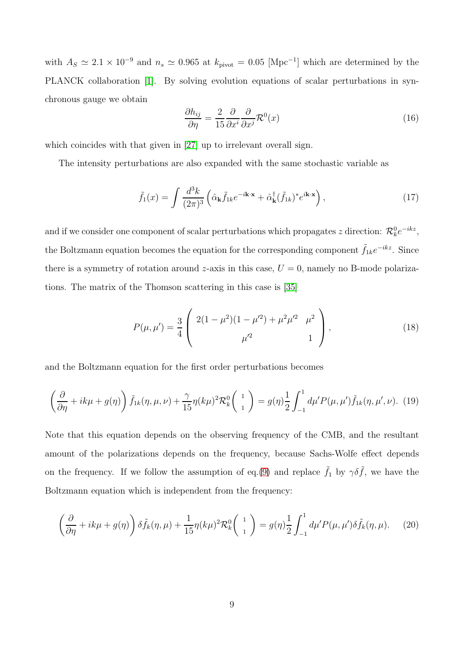with  $A_S \simeq 2.1 \times 10^{-9}$  and  $n_s \simeq 0.965$  at  $k_{\text{pivot}} = 0.05$  [Mpc<sup>-1</sup>] which are determined by the PLANCK collaboration [\[1\]](#page-22-0). By solving evolution equations of scalar perturbations in synchronous gauge we obtain

$$
\frac{\partial h_{ij}}{\partial \eta} = \frac{2}{15} \frac{\partial}{\partial x^i} \frac{\partial}{\partial x^j} \mathcal{R}^0(x) \tag{16}
$$

which coincides with that given in [\[27\]](#page-26-2) up to irrelevant overall sign.

The intensity perturbations are also expanded with the same stochastic variable as

$$
\tilde{f}_1(x) = \int \frac{d^3k}{(2\pi)^3} \left( \hat{\alpha}_{\mathbf{k}} \tilde{f}_{1k} e^{-i\mathbf{k}\cdot\mathbf{x}} + \hat{\alpha}_{\mathbf{k}}^\dagger (\tilde{f}_{1k})^* e^{i\mathbf{k}\cdot\mathbf{x}} \right),\tag{17}
$$

and if we consider one component of scalar perturbations which propagates z direction:  $\mathcal{R}_k^0 e^{-ikz}$ , the Boltzmann equation becomes the equation for the corresponding component  $\tilde{f}_{1k}e^{-ikz}$ . Since there is a symmetry of rotation around z-axis in this case,  $U = 0$ , namely no B-mode polarizations. The matrix of the Thomson scattering in this case is [\[35\]](#page-27-1)

$$
P(\mu, \mu') = \frac{3}{4} \left( \begin{array}{cc} 2(1 - \mu^2)(1 - \mu'^2) + \mu^2 \mu'^2 & \mu^2 \\ \mu'^2 & 1 \end{array} \right), \tag{18}
$$

and the Boltzmann equation for the first order perturbations becomes

$$
\left(\frac{\partial}{\partial \eta} + ik\mu + g(\eta)\right)\tilde{f}_{1k}(\eta, \mu, \nu) + \frac{\gamma}{15}\eta(k\mu)^2 \mathcal{R}_k^0\left(\begin{array}{c}1\\1\end{array}\right) = g(\eta)\frac{1}{2}\int_{-1}^1 d\mu' P(\mu, \mu')\tilde{f}_{1k}(\eta, \mu', \nu). \tag{19}
$$

Note that this equation depends on the observing frequency of the CMB, and the resultant amount of the polarizations depends on the frequency, because Sachs-Wolfe effect depends on the frequency. If we follow the assumption of eq.[\(9\)](#page-7-0) and replace  $\tilde{f}_1$  by  $\gamma \delta \tilde{f}$ , we have the Boltzmann equation which is independent from the frequency:

$$
\left(\frac{\partial}{\partial \eta} + ik\mu + g(\eta)\right)\delta\tilde{f}_k(\eta,\mu) + \frac{1}{15}\eta(k\mu)^2 \mathcal{R}_k^0\left(\begin{array}{c}1\\1\end{array}\right) = g(\eta)\frac{1}{2}\int_{-1}^1 d\mu' P(\mu,\mu')\delta\tilde{f}_k(\eta,\mu). \tag{20}
$$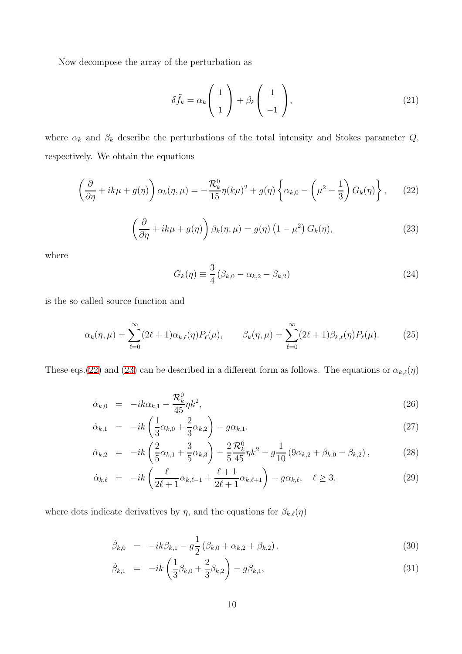Now decompose the array of the perturbation as

$$
\delta \tilde{f}_k = \alpha_k \begin{pmatrix} 1 \\ 1 \end{pmatrix} + \beta_k \begin{pmatrix} 1 \\ -1 \end{pmatrix}, \tag{21}
$$

where  $\alpha_k$  and  $\beta_k$  describe the perturbations of the total intensity and Stokes parameter  $Q$ , respectively. We obtain the equations

<span id="page-10-0"></span>
$$
\left(\frac{\partial}{\partial \eta} + ik\mu + g(\eta)\right)\alpha_k(\eta, \mu) = -\frac{\mathcal{R}_k^0}{15}\eta(k\mu)^2 + g(\eta)\left\{\alpha_{k,0} - \left(\mu^2 - \frac{1}{3}\right)G_k(\eta)\right\},\qquad(22)
$$

<span id="page-10-1"></span>
$$
\left(\frac{\partial}{\partial \eta} + ik\mu + g(\eta)\right) \beta_k(\eta, \mu) = g(\eta) \left(1 - \mu^2\right) G_k(\eta),\tag{23}
$$

where

$$
G_k(\eta) \equiv \frac{3}{4} \left( \beta_{k,0} - \alpha_{k,2} - \beta_{k,2} \right) \tag{24}
$$

is the so called source function and

$$
\alpha_k(\eta, \mu) = \sum_{\ell=0}^{\infty} (2\ell+1) \alpha_{k,\ell}(\eta) P_{\ell}(\mu), \qquad \beta_k(\eta, \mu) = \sum_{\ell=0}^{\infty} (2\ell+1) \beta_{k,\ell}(\eta) P_{\ell}(\mu). \tag{25}
$$

These eqs.[\(22\)](#page-10-0) and [\(23\)](#page-10-1) can be described in a different form as follows. The equations or  $\alpha_{k,\ell}(\eta)$ 

$$
\dot{\alpha}_{k,0} = -ik\alpha_{k,1} - \frac{\mathcal{R}_k^0}{45} \eta k^2, \tag{26}
$$

$$
\dot{\alpha}_{k,1} = -ik\left(\frac{1}{3}\alpha_{k,0} + \frac{2}{3}\alpha_{k,2}\right) - g\alpha_{k,1},\tag{27}
$$

$$
\dot{\alpha}_{k,2} = -ik\left(\frac{2}{5}\alpha_{k,1} + \frac{3}{5}\alpha_{k,3}\right) - \frac{2}{5}\frac{\mathcal{R}_k^0}{45}\eta k^2 - g\frac{1}{10}\left(9\alpha_{k,2} + \beta_{k,0} - \beta_{k,2}\right),\tag{28}
$$

$$
\dot{\alpha}_{k,\ell} = -ik\left(\frac{\ell}{2\ell+1}\alpha_{k,\ell-1} + \frac{\ell+1}{2\ell+1}\alpha_{k,\ell+1}\right) - g\alpha_{k,\ell}, \quad \ell \ge 3,
$$
\n(29)

where dots indicate derivatives by  $\eta$ , and the equations for  $\beta_{k,\ell}(\eta)$ 

$$
\dot{\beta}_{k,0} = -ik\beta_{k,1} - g\frac{1}{2}(\beta_{k,0} + \alpha_{k,2} + \beta_{k,2}),
$$
\n(30)

$$
\dot{\beta}_{k,1} = -ik\left(\frac{1}{3}\beta_{k,0} + \frac{2}{3}\beta_{k,2}\right) - g\beta_{k,1},\tag{31}
$$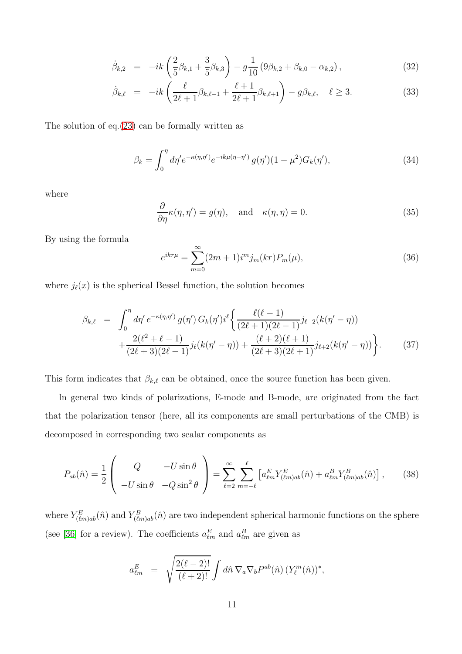$$
\dot{\beta}_{k,2} = -ik\left(\frac{2}{5}\beta_{k,1} + \frac{3}{5}\beta_{k,3}\right) - g\frac{1}{10}\left(9\beta_{k,2} + \beta_{k,0} - \alpha_{k,2}\right),\tag{32}
$$

$$
\dot{\beta}_{k,\ell} = -ik\left(\frac{\ell}{2\ell+1}\beta_{k,\ell-1} + \frac{\ell+1}{2\ell+1}\beta_{k,\ell+1}\right) - g\beta_{k,\ell}, \quad \ell \ge 3. \tag{33}
$$

The solution of eq.[\(23\)](#page-10-1) can be formally written as

$$
\beta_k = \int_0^{\eta} d\eta' e^{-\kappa(\eta, \eta')} e^{-ik\mu(\eta - \eta')} g(\eta') (1 - \mu^2) G_k(\eta'), \tag{34}
$$

where

$$
\frac{\partial}{\partial \eta} \kappa(\eta, \eta') = g(\eta), \text{ and } \kappa(\eta, \eta) = 0.
$$
 (35)

By using the formula

$$
e^{ikr\mu} = \sum_{m=0}^{\infty} (2m+1)i^m j_m(kr) P_m(\mu), \qquad (36)
$$

where  $j_{\ell}(x)$  is the spherical Bessel function, the solution becomes

<span id="page-11-0"></span>
$$
\beta_{k,\ell} = \int_0^{\eta} d\eta' e^{-\kappa(\eta,\eta')} g(\eta') G_k(\eta') i^{\ell} \left\{ \frac{\ell(\ell-1)}{(2\ell+1)(2\ell-1)} j_{\ell-2}(k(\eta'-\eta)) + \frac{2(\ell^2+\ell-1)}{(2\ell+3)(2\ell-1)} j_{\ell}(k(\eta'-\eta)) + \frac{(\ell+2)(\ell+1)}{(2\ell+3)(2\ell+1)} j_{\ell+2}(k(\eta'-\eta)) \right\}.
$$
\n(37)

This form indicates that  $\beta_{k,\ell}$  can be obtained, once the source function has been given.

In general two kinds of polarizations, E-mode and B-mode, are originated from the fact that the polarization tensor (here, all its components are small perturbations of the CMB) is decomposed in corresponding two scalar components as

$$
P_{ab}(\hat{n}) = \frac{1}{2} \begin{pmatrix} Q & -U\sin\theta \\ -U\sin\theta & -Q\sin^2\theta \end{pmatrix} = \sum_{\ell=2}^{\infty} \sum_{m=-\ell}^{\ell} \left[ a_{\ell m}^{E} Y_{(\ell m)ab}^{E}(\hat{n}) + a_{\ell m}^{B} Y_{(\ell m)ab}^{B}(\hat{n}) \right],
$$
(38)

where  $Y_{(\ell m)ab}^E(\hat{n})$  and  $Y_{(\ell m)ab}^B(\hat{n})$  are two independent spherical harmonic functions on the sphere (see [\[36\]](#page-27-2) for a review). The coefficients  $a_{\ell m}^E$  and  $a_{\ell m}^B$  are given as

$$
a_{\ell m}^{E} = \sqrt{\frac{2(\ell-2)!}{(\ell+2)!}} \int d\hat{n} \, \nabla_{a} \nabla_{b} P^{ab}(\hat{n}) \, (Y_{\ell}^{m}(\hat{n}))^{*},
$$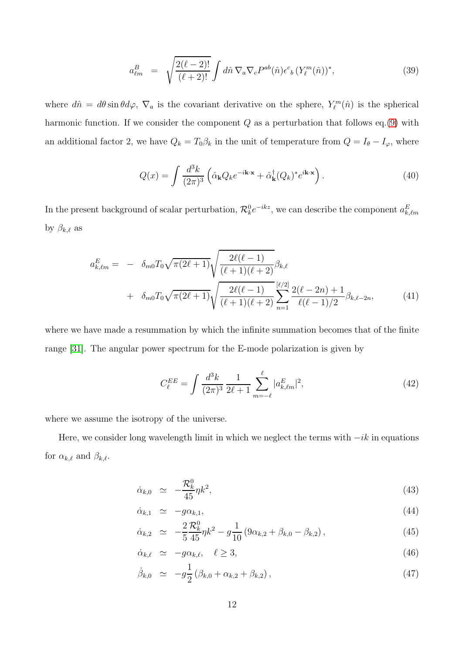$$
a_{\ell m}^B = \sqrt{\frac{2(\ell-2)!}{(\ell+2)!}} \int d\hat{n} \, \nabla_a \nabla_c P^{ab}(\hat{n}) \epsilon^c{}_b \left( Y_\ell^m(\hat{n}) \right)^*, \tag{39}
$$

where  $d\hat{n} = d\theta \sin \theta d\varphi$ ,  $\nabla_a$  is the covariant derivative on the sphere,  $Y_{\ell}^{m}(\hat{n})$  is the spherical harmonic function. If we consider the component  $Q$  as a perturbation that follows eq.[\(9\)](#page-7-0) with an additional factor 2, we have  $Q_k = T_0 \beta_k$  in the unit of temperature from  $Q = I_{\theta} - I_{\varphi}$ , where

$$
Q(x) = \int \frac{d^3k}{(2\pi)^3} \left( \hat{\alpha}_{\mathbf{k}} Q_k e^{-i\mathbf{k} \cdot \mathbf{x}} + \hat{\alpha}_{\mathbf{k}}^\dagger (Q_k)^* e^{i\mathbf{k} \cdot \mathbf{x}} \right). \tag{40}
$$

In the present background of scalar perturbation,  $\mathcal{R}_k^0 e^{-ikz}$ , we can describe the component  $a_{k,\ell m}^E$ by  $\beta_{k,\ell}$  as

<span id="page-12-0"></span>
$$
a_{k,\ell m}^{E} = - \delta_{m0} T_0 \sqrt{\pi (2\ell+1)} \sqrt{\frac{2\ell(\ell-1)}{(\ell+1)(\ell+2)}} \beta_{k,\ell}
$$
  
+ 
$$
\delta_{m0} T_0 \sqrt{\pi (2\ell+1)} \sqrt{\frac{2\ell(\ell-1)}{(\ell+1)(\ell+2)}} \sum_{n=1}^{[\ell/2]} \frac{2(\ell-2n)+1}{\ell(\ell-1)/2} \beta_{k,\ell-2n},
$$
(41)

where we have made a resummation by which the infinite summation becomes that of the finite range [\[31\]](#page-26-6). The angular power spectrum for the E-mode polarization is given by

<span id="page-12-1"></span>
$$
C_{\ell}^{EE} = \int \frac{d^3k}{(2\pi)^3} \frac{1}{2\ell+1} \sum_{m=-\ell}^{\ell} |a_{k,\ell m}^{E}|^2,
$$
\n(42)

where we assume the isotropy of the universe.

Here, we consider long wavelength limit in which we neglect the terms with  $-i$ k in equations for  $\alpha_{k,\ell}$  and  $\beta_{k,\ell}$ .

$$
\dot{\alpha}_{k,0} \simeq -\frac{\mathcal{R}_k^0}{45} \eta k^2,\tag{43}
$$

$$
\dot{\alpha}_{k,1} \simeq -g\alpha_{k,1},\tag{44}
$$

$$
\dot{\alpha}_{k,2} \simeq -\frac{2}{5} \frac{\mathcal{R}_k^0}{45} \eta k^2 - g \frac{1}{10} \left( 9 \alpha_{k,2} + \beta_{k,0} - \beta_{k,2} \right), \tag{45}
$$

$$
\dot{\alpha}_{k,\ell} \simeq -g\alpha_{k,\ell}, \quad \ell \ge 3,\tag{46}
$$

$$
\dot{\beta}_{k,0} \simeq -g\frac{1}{2}(\beta_{k,0} + \alpha_{k,2} + \beta_{k,2}), \qquad (47)
$$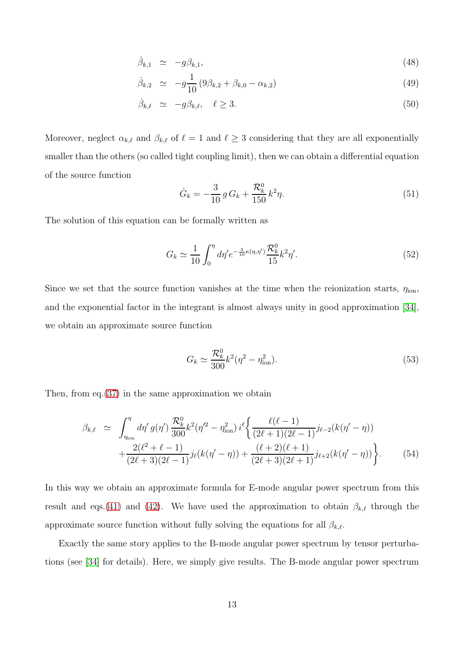$$
\dot{\beta}_{k,1} \simeq -g\beta_{k,1},\tag{48}
$$

$$
\dot{\beta}_{k,2} \simeq -g\frac{1}{10}(9\beta_{k,2} + \beta_{k,0} - \alpha_{k,2})
$$
\n(49)

$$
\dot{\beta}_{k,\ell} \simeq -g\beta_{k,\ell}, \quad \ell \ge 3. \tag{50}
$$

Moreover, neglect  $\alpha_{k,\ell}$  and  $\beta_{k,\ell}$  of  $\ell = 1$  and  $\ell \geq 3$  considering that they are all exponentially smaller than the others (so called tight coupling limit), then we can obtain a differential equation of the source function

$$
\dot{G}_k = -\frac{3}{10} g G_k + \frac{\mathcal{R}_k^0}{150} k^2 \eta.
$$
\n(51)

The solution of this equation can be formally written as

$$
G_k \simeq \frac{1}{10} \int_0^{\eta} d\eta' e^{-\frac{3}{10}\kappa(\eta,\eta')} \frac{\mathcal{R}_k^0}{15} k^2 \eta'. \tag{52}
$$

Since we set that the source function vanishes at the time when the reionization starts,  $\eta_{\text{ion}}$ , and the exponential factor in the integrant is almost always unity in good approximation [\[34\]](#page-27-0), we obtain an approximate source function

$$
G_k \simeq \frac{\mathcal{R}_k^0}{300} k^2 (\eta^2 - \eta_{\rm ion}^2). \tag{53}
$$

Then, from eq. $(37)$  in the same approximation we obtain

$$
\beta_{k,\ell} \simeq \int_{\eta_{\text{ion}}}^{\eta} d\eta' g(\eta') \frac{\mathcal{R}_k^0}{300} k^2 (\eta'^2 - \eta_{\text{ion}}^2) i^{\ell} \left\{ \frac{\ell(\ell-1)}{(2\ell+1)(2\ell-1)} j_{\ell-2}(k(\eta'-\eta)) + \frac{2(\ell^2+\ell-1)}{(2\ell+3)(2\ell-1)} j_{\ell}(k(\eta'-\eta)) + \frac{(\ell+2)(\ell+1)}{(2\ell+3)(2\ell+1)} j_{\ell+2}(k(\eta'-\eta)) \right\}.
$$
\n(54)

In this way we obtain an approximate formula for E-mode angular power spectrum from this result and eqs.[\(41\)](#page-12-0) and [\(42\)](#page-12-1). We have used the approximation to obtain  $\beta_{k,\ell}$  through the approximate source function without fully solving the equations for all  $\beta_{k,\ell}$ .

Exactly the same story applies to the B-mode angular power spectrum by tensor perturbations (see [\[34\]](#page-27-0) for details). Here, we simply give results. The B-mode angular power spectrum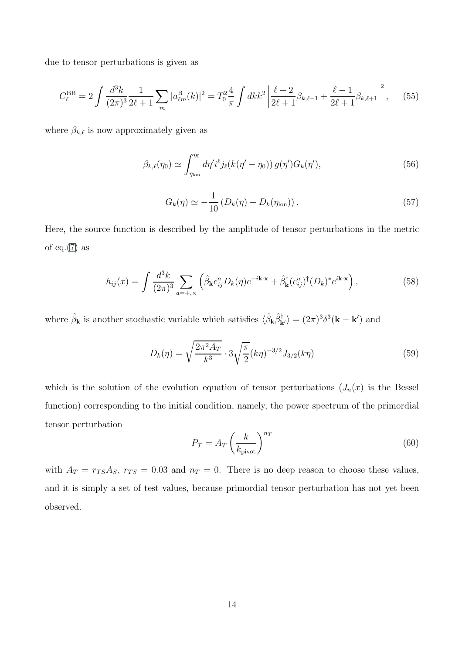due to tensor perturbations is given as

$$
C_{\ell}^{\text{BB}} = 2 \int \frac{d^3 k}{(2\pi)^3} \frac{1}{2\ell + 1} \sum_{m} |a_{\ell m}^{\text{B}}(k)|^2 = T_0^2 \frac{4}{\pi} \int dk k^2 \left| \frac{\ell + 2}{2\ell + 1} \beta_{k,\ell-1} + \frac{\ell - 1}{2\ell + 1} \beta_{k,\ell+1} \right|^2, \tag{55}
$$

where  $\beta_{k,\ell}$  is now approximately given as

$$
\beta_{k,\ell}(\eta_0) \simeq \int_{\eta_{\text{ion}}}^{\eta_0} d\eta' i^{\ell} j_{\ell}(k(\eta'-\eta_0)) g(\eta') G_k(\eta'), \qquad (56)
$$

$$
G_k(\eta) \simeq -\frac{1}{10} \left( D_k(\eta) - D_k(\eta_{\text{ion}}) \right). \tag{57}
$$

Here, the source function is described by the amplitude of tensor perturbations in the metric of eq. $(7)$  as

$$
h_{ij}(x) = \int \frac{d^3k}{(2\pi)^3} \sum_{a=+,\times} \left( \hat{\beta}_{\mathbf{k}} e_{ij}^a D_k(\eta) e^{-i\mathbf{k}\cdot\mathbf{x}} + \hat{\beta}_{\mathbf{k}}^\dagger (e_{ij}^a)^\dagger (D_k)^* e^{i\mathbf{k}\cdot\mathbf{x}} \right),\tag{58}
$$

where  $\hat{\beta}_{\mathbf{k}}$  is another stochastic variable which satisfies  $\langle \hat{\beta}_{\mathbf{k}} \hat{\beta}_{\mathbf{k'}}^{\dagger} \rangle = (2\pi)^3 \delta^3(\mathbf{k} - \mathbf{k'})$  and

$$
D_k(\eta) = \sqrt{\frac{2\pi^2 A_T}{k^3}} \cdot 3\sqrt{\frac{\pi}{2}} (k\eta)^{-3/2} J_{3/2}(k\eta)
$$
 (59)

which is the solution of the evolution equation of tensor perturbations  $(J_n(x))$  is the Bessel function) corresponding to the initial condition, namely, the power spectrum of the primordial tensor perturbation

$$
P_{\mathcal{T}} = A_T \left(\frac{k}{k_{\text{pivot}}}\right)^{n_T} \tag{60}
$$

with  $A_T = r_{TS}A_S$ ,  $r_{TS} = 0.03$  and  $n_T = 0$ . There is no deep reason to choose these values, and it is simply a set of test values, because primordial tensor perturbation has not yet been observed.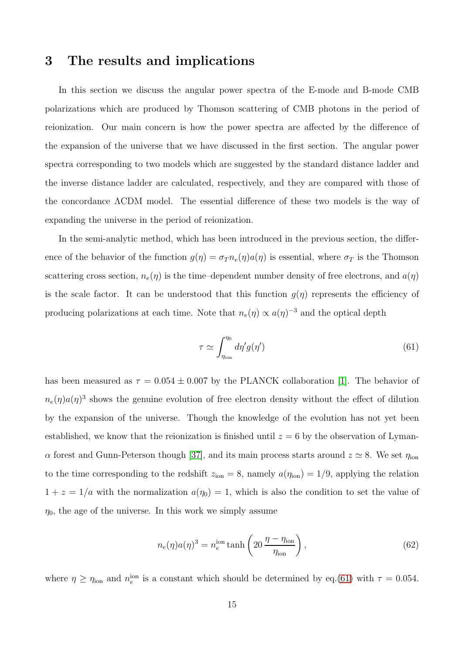#### <span id="page-15-0"></span>3 The results and implications

In this section we discuss the angular power spectra of the E-mode and B-mode CMB polarizations which are produced by Thomson scattering of CMB photons in the period of reionization. Our main concern is how the power spectra are affected by the difference of the expansion of the universe that we have discussed in the first section. The angular power spectra corresponding to two models which are suggested by the standard distance ladder and the inverse distance ladder are calculated, respectively, and they are compared with those of the concordance ΛCDM model. The essential difference of these two models is the way of expanding the universe in the period of reionization.

In the semi-analytic method, which has been introduced in the previous section, the difference of the behavior of the function  $g(\eta) = \sigma_T n_e(\eta) a(\eta)$  is essential, where  $\sigma_T$  is the Thomson scattering cross section,  $n_e(\eta)$  is the time-dependent number density of free electrons, and  $a(\eta)$ is the scale factor. It can be understood that this function  $g(\eta)$  represents the efficiency of producing polarizations at each time. Note that  $n_e(\eta) \propto a(\eta)^{-3}$  and the optical depth

<span id="page-15-1"></span>
$$
\tau \simeq \int_{\eta_{\rm ion}}^{\eta_0} d\eta' g(\eta') \tag{61}
$$

has been measured as  $\tau = 0.054 \pm 0.007$  by the PLANCK collaboration [\[1\]](#page-22-0). The behavior of  $n_e(\eta)a(\eta)^3$  shows the genuine evolution of free electron density without the effect of dilution by the expansion of the universe. Though the knowledge of the evolution has not yet been established, we know that the reionization is finished until  $z = 6$  by the observation of Lyman- $\alpha$  forest and Gunn-Peterson though [\[37\]](#page-27-3), and its main process starts around  $z \simeq 8$ . We set  $\eta_{\text{ion}}$ to the time corresponding to the redshift  $z_{\text{ion}} = 8$ , namely  $a(\eta_{\text{ion}}) = 1/9$ , applying the relation  $1 + z = 1/a$  with the normalization  $a(\eta_0) = 1$ , which is also the condition to set the value of  $\eta_0$ , the age of the universe. In this work we simply assume

$$
n_e(\eta)a(\eta)^3 = n_e^{\text{ion}} \tanh\left(20 \frac{\eta - \eta_{\text{ion}}}{\eta_{\text{ion}}}\right),\tag{62}
$$

where  $\eta \ge \eta_{\text{ion}}$  and  $n_e^{\text{ion}}$  is a constant which should be determined by eq.[\(61\)](#page-15-1) with  $\tau = 0.054$ .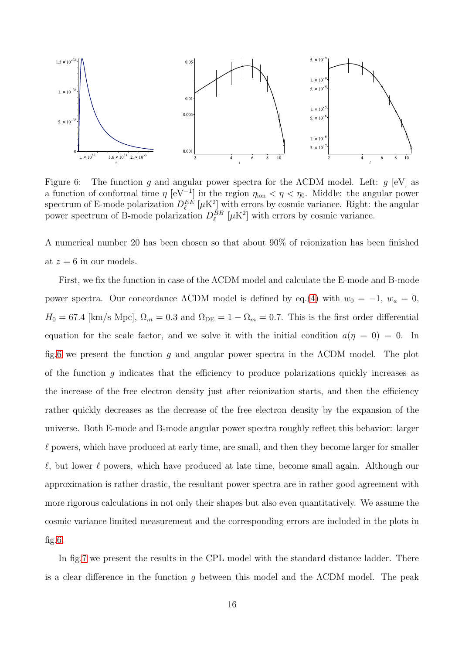

<span id="page-16-0"></span>Figure 6: The function g and angular power spectra for the  $\Lambda$ CDM model. Left: g [eV] as a function of conformal time  $\eta$  [eV<sup>-1</sup>] in the region  $\eta_{\text{ion}} < \eta < \eta_0$ . Middle: the angular power spectrum of E-mode polarization  $D_{\ell}^{EE}$   $[\mu$ K<sup>2</sup> $]$  with errors by cosmic variance. Right: the angular power spectrum of B-mode polarization  $D_{\ell}^{BB}$  [ $\mu$ K<sup>2</sup>] with errors by cosmic variance.

A numerical number 20 has been chosen so that about 90% of reionization has been finished at  $z = 6$  in our models.

First, we fix the function in case of the ΛCDM model and calculate the E-mode and B-mode power spectra. Our concordance  $\Lambda$ CDM model is defined by eq.[\(4\)](#page-3-0) with  $w_0 = -1$ ,  $w_a = 0$ ,  $H_0 = 67.4$  [km/s Mpc],  $\Omega_m = 0.3$  and  $\Omega_{DE} = 1 - \Omega_m = 0.7$ . This is the first order differential equation for the scale factor, and we solve it with the initial condition  $a(\eta = 0) = 0$ . In fig[.6](#page-16-0) we present the function g and angular power spectra in the ΛCDM model. The plot of the function q indicates that the efficiency to produce polarizations quickly increases as the increase of the free electron density just after reionization starts, and then the efficiency rather quickly decreases as the decrease of the free electron density by the expansion of the universe. Both E-mode and B-mode angular power spectra roughly reflect this behavior: larger  $\ell$  powers, which have produced at early time, are small, and then they become larger for smaller  $\ell$ , but lower  $\ell$  powers, which have produced at late time, become small again. Although our approximation is rather drastic, the resultant power spectra are in rather good agreement with more rigorous calculations in not only their shapes but also even quantitatively. We assume the cosmic variance limited measurement and the corresponding errors are included in the plots in fig[.6.](#page-16-0)

In fig[.7](#page-17-0) we present the results in the CPL model with the standard distance ladder. There is a clear difference in the function q between this model and the  $\Lambda$ CDM model. The peak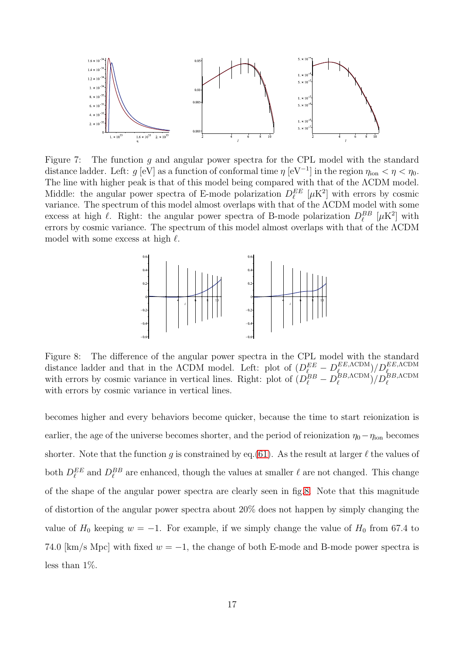

<span id="page-17-0"></span>Figure 7: The function q and angular power spectra for the CPL model with the standard distance ladder. Left:  $g$  [eV] as a function of conformal time  $\eta$  [eV<sup>-1</sup>] in the region  $\eta_{\text{ion}} < \eta < \eta_0$ . The line with higher peak is that of this model being compared with that of the ΛCDM model. Middle: the angular power spectra of E-mode polarization  $D_{\ell}^{EE}$  [ $\mu$ K<sup>2</sup>] with errors by cosmic variance. The spectrum of this model almost overlaps with that of the ΛCDM model with some excess at high  $\ell$ . Right: the angular power spectra of B-mode polarization  $D_{\ell}^{BB}$  [ $\mu$ K<sup>2</sup>] with errors by cosmic variance. The spectrum of this model almost overlaps with that of the ΛCDM model with some excess at high  $\ell$ .



<span id="page-17-1"></span>Figure 8: The difference of the angular power spectra in the CPL model with the standard distance ladder and that in the  $\Lambda$ CDM model. Left: plot of  $(D_{\ell}^{EE} - D_{\ell_{\ell}}^{EE, \Lambda \text{CDM}})$ distance ladder and that in the ACDM model. Left: plot of  $(D_{\ell}^{EE} - D_{\ell}^{EE, \Lambda \text{CDM}})/D_{\ell}^{EE, \Lambda \text{CDM}}$  with errors by cosmic variance in vertical lines. Right: plot of  $(D_{\ell}^{BB} - D_{\ell}^{BB, \Lambda \text{CDM}})/D_{\ell}^{BB, \Lambda \text{CDM}}$  $\binom{BB,\Lambda{\rm CDM}}{\ell}/D_{\ell}^{BB,\Lambda{\rm CDM}}$ with errors by cosmic variance in vertical lines.

becomes higher and every behaviors become quicker, because the time to start reionization is earlier, the age of the universe becomes shorter, and the period of reionization  $\eta_0 - \eta_{\text{ion}}$  becomes shorter. Note that the function q is constrained by eq.[\(61\)](#page-15-1). As the result at larger  $\ell$  the values of both  $D_{\ell}^{EE}$  and  $D_{\ell}^{BB}$  are enhanced, though the values at smaller  $\ell$  are not changed. This change of the shape of the angular power spectra are clearly seen in fig[.8.](#page-17-1) Note that this magnitude of distortion of the angular power spectra about 20% does not happen by simply changing the value of  $H_0$  keeping  $w = -1$ . For example, if we simply change the value of  $H_0$  from 67.4 to 74.0 [km/s Mpc] with fixed  $w = -1$ , the change of both E-mode and B-mode power spectra is less than 1%.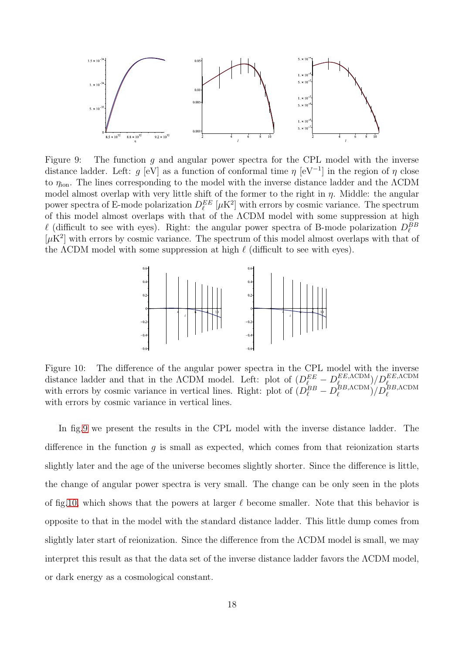

<span id="page-18-0"></span>Figure 9: The function q and angular power spectra for the CPL model with the inverse distance ladder. Left: g [eV] as a function of conformal time  $\eta$  [eV<sup>-1</sup>] in the region of  $\eta$  close to  $\eta_{\text{ion}}$ . The lines corresponding to the model with the inverse distance ladder and the  $\Lambda$ CDM model almost overlap with very little shift of the former to the right in  $\eta$ . Middle: the angular power spectra of E-mode polarization  $D_{\ell}^{EE}$  [ $\mu$ K<sup>2</sup>] with errors by cosmic variance. The spectrum of this model almost overlaps with that of the ΛCDM model with some suppression at high  $\ell$  (difficult to see with eyes). Right: the angular power spectra of B-mode polarization  $D_{\ell}^{BB}$  $[\mu K^2]$  with errors by cosmic variance. The spectrum of this model almost overlaps with that of the  $\Lambda$ CDM model with some suppression at high  $\ell$  (difficult to see with eyes).



<span id="page-18-1"></span>Figure 10: The difference of the angular power spectra in the CPL model with the inverse distance ladder and that in the  $\Lambda$ CDM model. Left: plot of  $(D_{\ell}^{EE} - D_{\ell_{\rm BD}}^{EE, \Lambda_{\rm CDM}})$ distance ladder and that in the ACDM model. Left: plot of  $(D_{\ell}^{EE} - D_{\ell}^{EE, \Lambda \text{CDM}})/D_{\ell}^{EE, \Lambda \text{CDM}}$  with errors by cosmic variance in vertical lines. Right: plot of  $(D_{\ell}^{BB} - D_{\ell}^{BB, \Lambda \text{CDM}})/D_{\ell}^{BB, \Lambda \text{CDM}}$  $\binom{BB,\Lambda{\rm CDM}}{\ell}/D_{\ell}^{BB,\Lambda{\rm CDM}}$ with errors by cosmic variance in vertical lines.

In fig[.9](#page-18-0) we present the results in the CPL model with the inverse distance ladder. The difference in the function  $q$  is small as expected, which comes from that reionization starts slightly later and the age of the universe becomes slightly shorter. Since the difference is little, the change of angular power spectra is very small. The change can be only seen in the plots of fig[.10,](#page-18-1) which shows that the powers at larger  $\ell$  become smaller. Note that this behavior is opposite to that in the model with the standard distance ladder. This little dump comes from slightly later start of reionization. Since the difference from the ΛCDM model is small, we may interpret this result as that the data set of the inverse distance ladder favors the ΛCDM model, or dark energy as a cosmological constant.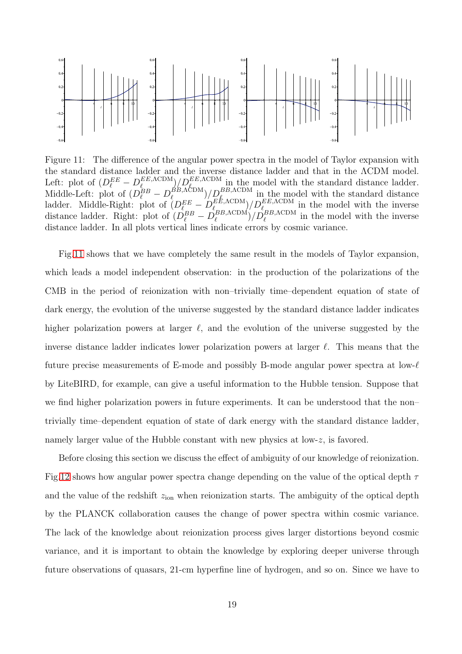

<span id="page-19-0"></span>Figure 11: The difference of the angular power spectra in the model of Taylor expansion with the standard distance ladder and the inverse distance ladder and that in the ΛCDM model. Left: plot of  $(D_{\ell}^{EE} - D_{\ell_{\text{max}}}^{EE,\text{ACDM}})$  $\frac{E_{\text{E}}\text{ACDM}}{E_{\text{E}}}\left| \frac{DE_{\text{E}}\text{ACDM}}{DE_{\text{E}}\text{ACDM}} \right|$  in the model with the standard distance ladder. Middle-Left: plot of  $(D_{\ell}^{BB} - D_{\ell}^{BB,\Lambda \text{CDM}})$  $\frac{BB,\Lambda\text{CDM}}{\ell}$  /  $D_{\ell}^{BB,\Lambda\text{CDM}}$  in the model with the standard distance ladder. Middle-Right: plot of  $(D_{\ell_{-}}^{EE} - D_{\ell_{\rm D}D_{\ell}}^{EE, \Lambda \rm{CDM}})$  $\frac{E E, \Lambda \text{CDM}}{\ell_{BB} \Lambda \text{CDM}}/D_{\ell_{BB} \Lambda \text{CDM}}^{EE, \Lambda \text{CDM}}$  in the model with the inverse distance ladder. Right: plot of  $(D_{\ell}^{BB} - D_{\ell}^{BB,\Lambda \text{CDM}})$  $\binom{BB,\Lambda\text{CDM}}{\ell}/\widetilde{D}_{\ell}^{BB,\Lambda\text{CDM}}$  in the model with the inverse distance ladder. In all plots vertical lines indicate errors by cosmic variance.

Fig[.11](#page-19-0) shows that we have completely the same result in the models of Taylor expansion, which leads a model independent observation: in the production of the polarizations of the CMB in the period of reionization with non–trivially time–dependent equation of state of dark energy, the evolution of the universe suggested by the standard distance ladder indicates higher polarization powers at larger  $\ell$ , and the evolution of the universe suggested by the inverse distance ladder indicates lower polarization powers at larger  $\ell$ . This means that the future precise measurements of E-mode and possibly B-mode angular power spectra at low- $\ell$ by LiteBIRD, for example, can give a useful information to the Hubble tension. Suppose that we find higher polarization powers in future experiments. It can be understood that the non– trivially time–dependent equation of state of dark energy with the standard distance ladder, namely larger value of the Hubble constant with new physics at low-z, is favored.

Before closing this section we discuss the effect of ambiguity of our knowledge of reionization. Fig[.12](#page-20-0) shows how angular power spectra change depending on the value of the optical depth  $\tau$ and the value of the redshift  $z<sub>ion</sub>$  when reionization starts. The ambiguity of the optical depth by the PLANCK collaboration causes the change of power spectra within cosmic variance. The lack of the knowledge about reionization process gives larger distortions beyond cosmic variance, and it is important to obtain the knowledge by exploring deeper universe through future observations of quasars, 21-cm hyperfine line of hydrogen, and so on. Since we have to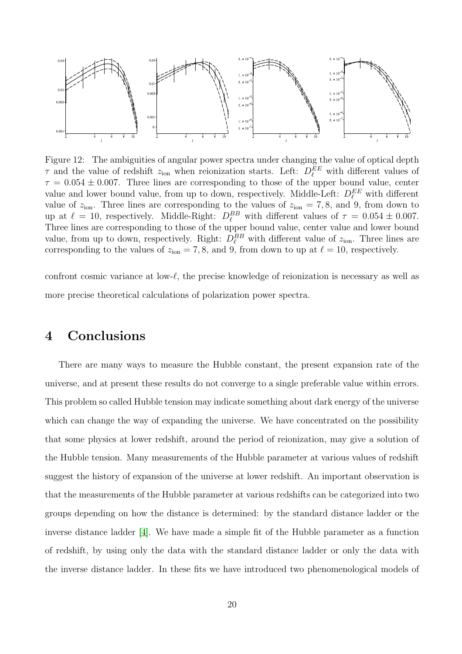

<span id="page-20-0"></span>Figure 12: The ambiguities of angular power spectra under changing the value of optical depth  $\tau$  and the value of redshift  $z_{\text{ion}}$  when reionization starts. Left:  $D_{\ell}^{EE}$  with different values of  $\tau = 0.054 \pm 0.007$ . Three lines are corresponding to those of the upper bound value, center value and lower bound value, from up to down, respectively. Middle-Left:  $D_{\ell}^{EE}$  with different value of  $z_{\text{ion}}$ . Three lines are corresponding to the values of  $z_{\text{ion}} = 7, 8$ , and 9, from down to up at  $\ell = 10$ , respectively. Middle-Right:  $D_{\ell}^{BB}$  with different values of  $\tau = 0.054 \pm 0.007$ . Three lines are corresponding to those of the upper bound value, center value and lower bound value, from up to down, respectively. Right:  $D_{\ell}^{BB}$  with different value of  $z_{\text{ion}}$ . Three lines are corresponding to the values of  $z_{\text{ion}} = 7, 8$ , and 9, from down to up at  $\ell = 10$ , respectively.

confront cosmic variance at low- $\ell$ , the precise knowledge of reionization is necessary as well as more precise theoretical calculations of polarization power spectra.

### 4 Conclusions

There are many ways to measure the Hubble constant, the present expansion rate of the universe, and at present these results do not converge to a single preferable value within errors. This problem so called Hubble tension may indicate something about dark energy of the universe which can change the way of expanding the universe. We have concentrated on the possibility that some physics at lower redshift, around the period of reionization, may give a solution of the Hubble tension. Many measurements of the Hubble parameter at various values of redshift suggest the history of expansion of the universe at lower redshift. An important observation is that the measurements of the Hubble parameter at various redshifts can be categorized into two groups depending on how the distance is determined: by the standard distance ladder or the inverse distance ladder [\[4\]](#page-23-2). We have made a simple fit of the Hubble parameter as a function of redshift, by using only the data with the standard distance ladder or only the data with the inverse distance ladder. In these fits we have introduced two phenomenological models of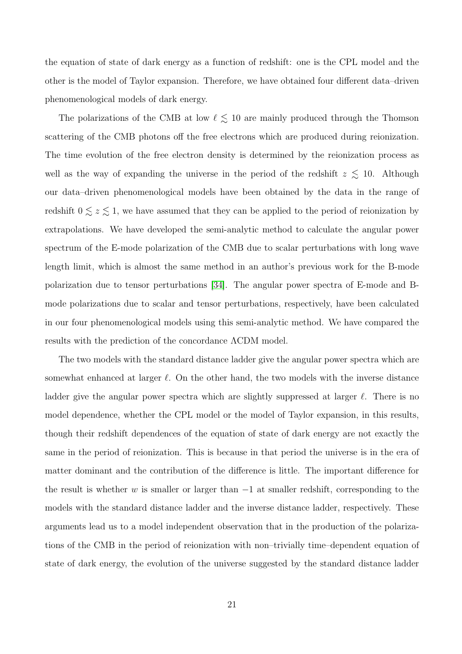the equation of state of dark energy as a function of redshift: one is the CPL model and the other is the model of Taylor expansion. Therefore, we have obtained four different data–driven phenomenological models of dark energy.

The polarizations of the CMB at low  $\ell$   $\lesssim$  10 are mainly produced through the Thomson scattering of the CMB photons off the free electrons which are produced during reionization. The time evolution of the free electron density is determined by the reionization process as well as the way of expanding the universe in the period of the redshift  $z \lesssim 10$ . Although our data–driven phenomenological models have been obtained by the data in the range of redshift  $0 \lesssim z \lesssim 1$ , we have assumed that they can be applied to the period of reionization by extrapolations. We have developed the semi-analytic method to calculate the angular power spectrum of the E-mode polarization of the CMB due to scalar perturbations with long wave length limit, which is almost the same method in an author's previous work for the B-mode polarization due to tensor perturbations [\[34\]](#page-27-0). The angular power spectra of E-mode and Bmode polarizations due to scalar and tensor perturbations, respectively, have been calculated in our four phenomenological models using this semi-analytic method. We have compared the results with the prediction of the concordance ΛCDM model.

The two models with the standard distance ladder give the angular power spectra which are somewhat enhanced at larger  $\ell$ . On the other hand, the two models with the inverse distance ladder give the angular power spectra which are slightly suppressed at larger  $\ell$ . There is no model dependence, whether the CPL model or the model of Taylor expansion, in this results, though their redshift dependences of the equation of state of dark energy are not exactly the same in the period of reionization. This is because in that period the universe is in the era of matter dominant and the contribution of the difference is little. The important difference for the result is whether w is smaller or larger than  $-1$  at smaller redshift, corresponding to the models with the standard distance ladder and the inverse distance ladder, respectively. These arguments lead us to a model independent observation that in the production of the polarizations of the CMB in the period of reionization with non–trivially time–dependent equation of state of dark energy, the evolution of the universe suggested by the standard distance ladder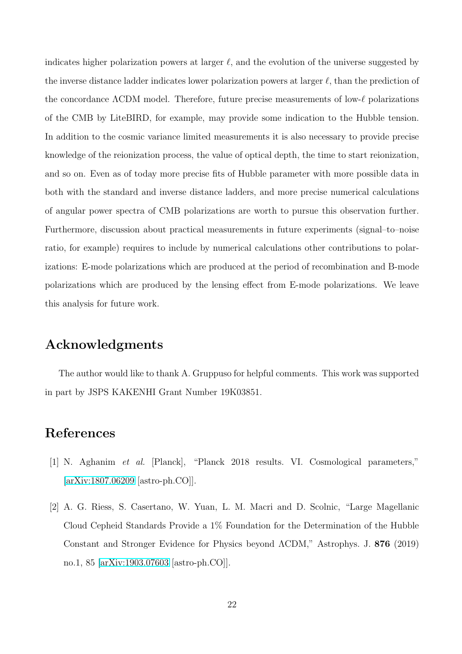indicates higher polarization powers at larger  $\ell$ , and the evolution of the universe suggested by the inverse distance ladder indicates lower polarization powers at larger  $\ell$ , than the prediction of the concordance ΛCDM model. Therefore, future precise measurements of low-ℓ polarizations of the CMB by LiteBIRD, for example, may provide some indication to the Hubble tension. In addition to the cosmic variance limited measurements it is also necessary to provide precise knowledge of the reionization process, the value of optical depth, the time to start reionization, and so on. Even as of today more precise fits of Hubble parameter with more possible data in both with the standard and inverse distance ladders, and more precise numerical calculations of angular power spectra of CMB polarizations are worth to pursue this observation further. Furthermore, discussion about practical measurements in future experiments (signal–to–noise ratio, for example) requires to include by numerical calculations other contributions to polarizations: E-mode polarizations which are produced at the period of recombination and B-mode polarizations which are produced by the lensing effect from E-mode polarizations. We leave this analysis for future work.

# Acknowledgments

The author would like to thank A. Gruppuso for helpful comments. This work was supported in part by JSPS KAKENHI Grant Number 19K03851.

# <span id="page-22-0"></span>References

- <span id="page-22-1"></span>[1] N. Aghanim et al. [Planck], "Planck 2018 results. VI. Cosmological parameters," [\[arXiv:1807.06209](http://arxiv.org/abs/1807.06209) [astro-ph.CO]].
- [2] A. G. Riess, S. Casertano, W. Yuan, L. M. Macri and D. Scolnic, "Large Magellanic Cloud Cepheid Standards Provide a 1% Foundation for the Determination of the Hubble Constant and Stronger Evidence for Physics beyond ΛCDM," Astrophys. J. 876 (2019) no.1, 85 [\[arXiv:1903.07603](http://arxiv.org/abs/1903.07603) [astro-ph.CO]].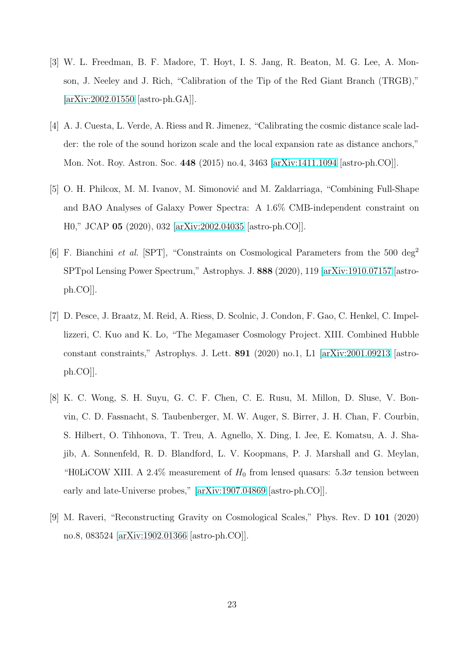- <span id="page-23-0"></span>[3] W. L. Freedman, B. F. Madore, T. Hoyt, I. S. Jang, R. Beaton, M. G. Lee, A. Monson, J. Neeley and J. Rich, "Calibration of the Tip of the Red Giant Branch (TRGB)," [\[arXiv:2002.01550](http://arxiv.org/abs/2002.01550) [astro-ph.GA]].
- <span id="page-23-2"></span>[4] A. J. Cuesta, L. Verde, A. Riess and R. Jimenez, "Calibrating the cosmic distance scale ladder: the role of the sound horizon scale and the local expansion rate as distance anchors," Mon. Not. Roy. Astron. Soc. 448 (2015) no.4, 3463 [\[arXiv:1411.1094](http://arxiv.org/abs/1411.1094) [astro-ph.CO]].
- <span id="page-23-1"></span>[5] O. H. Philcox, M. M. Ivanov, M. Simonović and M. Zaldarriaga, "Combining Full-Shape and BAO Analyses of Galaxy Power Spectra: A 1.6% CMB-independent constraint on H0," JCAP 05 (2020), 032 [\[arXiv:2002.04035](http://arxiv.org/abs/2002.04035) [astro-ph.CO]].
- <span id="page-23-3"></span>[6] F. Bianchini et al. [SPT], "Constraints on Cosmological Parameters from the 500 deg<sup>2</sup> SPTpol Lensing Power Spectrum," Astrophys. J. 888 (2020), 119 [\[arXiv:1910.07157](http://arxiv.org/abs/1910.07157) [astroph.CO]].
- <span id="page-23-4"></span>[7] D. Pesce, J. Braatz, M. Reid, A. Riess, D. Scolnic, J. Condon, F. Gao, C. Henkel, C. Impellizzeri, C. Kuo and K. Lo, "The Megamaser Cosmology Project. XIII. Combined Hubble constant constraints," Astrophys. J. Lett. 891 (2020) no.1, L1 [\[arXiv:2001.09213](http://arxiv.org/abs/2001.09213) [astroph.CO]].
- <span id="page-23-5"></span>[8] K. C. Wong, S. H. Suyu, G. C. F. Chen, C. E. Rusu, M. Millon, D. Sluse, V. Bonvin, C. D. Fassnacht, S. Taubenberger, M. W. Auger, S. Birrer, J. H. Chan, F. Courbin, S. Hilbert, O. Tihhonova, T. Treu, A. Agnello, X. Ding, I. Jee, E. Komatsu, A. J. Shajib, A. Sonnenfeld, R. D. Blandford, L. V. Koopmans, P. J. Marshall and G. Meylan, "H0LiCOW XIII. A 2.4% measurement of  $H_0$  from lensed quasars:  $5.3\sigma$  tension between early and late-Universe probes," [\[arXiv:1907.04869](http://arxiv.org/abs/1907.04869) [astro-ph.CO]].
- <span id="page-23-6"></span>[9] M. Raveri, "Reconstructing Gravity on Cosmological Scales," Phys. Rev. D 101 (2020) no.8, 083524 [\[arXiv:1902.01366](http://arxiv.org/abs/1902.01366) [astro-ph.CO]].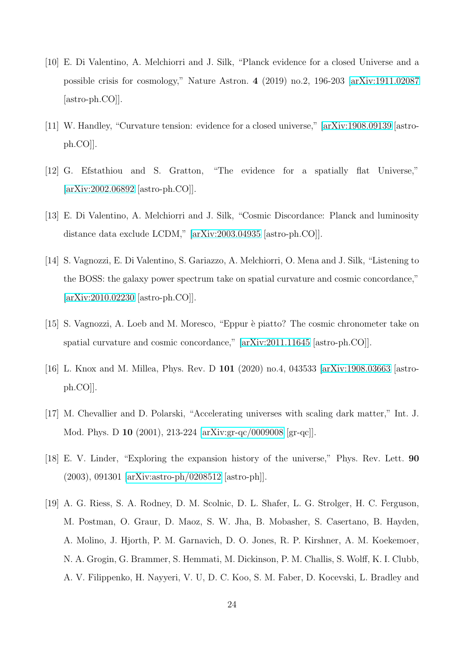- <span id="page-24-0"></span>[10] E. Di Valentino, A. Melchiorri and J. Silk, "Planck evidence for a closed Universe and a possible crisis for cosmology," Nature Astron. 4 (2019) no.2, 196-203 [\[arXiv:1911.02087](http://arxiv.org/abs/1911.02087) [astro-ph.CO]].
- <span id="page-24-2"></span><span id="page-24-1"></span>[11] W. Handley, "Curvature tension: evidence for a closed universe," [\[arXiv:1908.09139](http://arxiv.org/abs/1908.09139) [astroph.CO]].
- <span id="page-24-3"></span>[12] G. Efstathiou and S. Gratton, "The evidence for a spatially flat Universe," [\[arXiv:2002.06892](http://arxiv.org/abs/2002.06892) [astro-ph.CO]].
- <span id="page-24-4"></span>[13] E. Di Valentino, A. Melchiorri and J. Silk, "Cosmic Discordance: Planck and luminosity distance data exclude LCDM," [\[arXiv:2003.04935](http://arxiv.org/abs/2003.04935) [astro-ph.CO]].
- [14] S. Vagnozzi, E. Di Valentino, S. Gariazzo, A. Melchiorri, O. Mena and J. Silk, "Listening to the BOSS: the galaxy power spectrum take on spatial curvature and cosmic concordance," [\[arXiv:2010.02230](http://arxiv.org/abs/2010.02230) [astro-ph.CO]].
- <span id="page-24-6"></span><span id="page-24-5"></span>[15] S. Vagnozzi, A. Loeb and M. Moresco, "Eppur è piatto? The cosmic chronometer take on spatial curvature and cosmic concordance," [\[arXiv:2011.11645](http://arxiv.org/abs/2011.11645) [astro-ph.CO]].
- <span id="page-24-7"></span>[16] L. Knox and M. Millea, Phys. Rev. D 101 (2020) no.4, 043533 [\[arXiv:1908.03663](http://arxiv.org/abs/1908.03663) [astroph.CO]].
- <span id="page-24-8"></span>[17] M. Chevallier and D. Polarski, "Accelerating universes with scaling dark matter," Int. J. Mod. Phys. D 10 (2001), 213-224 [\[arXiv:gr-qc/0009008](http://arxiv.org/abs/gr-qc/0009008) [gr-qc]].
- <span id="page-24-9"></span>[18] E. V. Linder, "Exploring the expansion history of the universe," Phys. Rev. Lett. 90 (2003), 091301 [\[arXiv:astro-ph/0208512](http://arxiv.org/abs/astro-ph/0208512) [astro-ph]].
- [19] A. G. Riess, S. A. Rodney, D. M. Scolnic, D. L. Shafer, L. G. Strolger, H. C. Ferguson, M. Postman, O. Graur, D. Maoz, S. W. Jha, B. Mobasher, S. Casertano, B. Hayden, A. Molino, J. Hjorth, P. M. Garnavich, D. O. Jones, R. P. Kirshner, A. M. Koekemoer, N. A. Grogin, G. Brammer, S. Hemmati, M. Dickinson, P. M. Challis, S. Wolff, K. I. Clubb, A. V. Filippenko, H. Nayyeri, V. U, D. C. Koo, S. M. Faber, D. Kocevski, L. Bradley and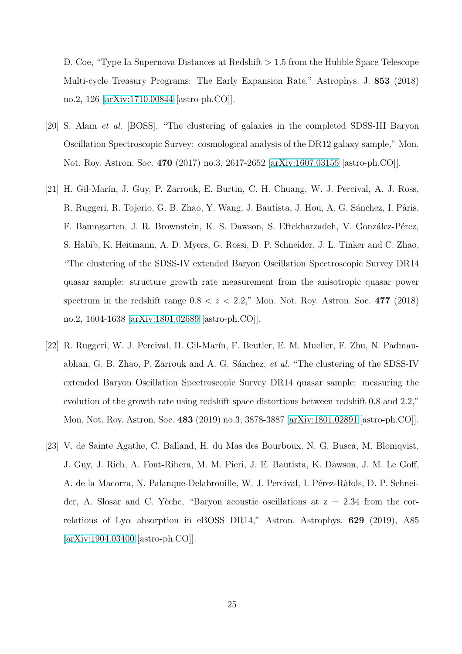D. Coe, "Type Ia Supernova Distances at Redshift > 1.5 from the Hubble Space Telescope Multi-cycle Treasury Programs: The Early Expansion Rate," Astrophys. J. 853 (2018) no.2, 126 [\[arXiv:1710.00844](http://arxiv.org/abs/1710.00844) [astro-ph.CO]].

- <span id="page-25-0"></span>[20] S. Alam et al. [BOSS], "The clustering of galaxies in the completed SDSS-III Baryon Oscillation Spectroscopic Survey: cosmological analysis of the DR12 galaxy sample," Mon. Not. Roy. Astron. Soc. 470 (2017) no.3, 2617-2652 [\[arXiv:1607.03155](http://arxiv.org/abs/1607.03155) [astro-ph.CO]].
- <span id="page-25-1"></span>[21] H. Gil-Marín, J. Guy, P. Zarrouk, E. Burtin, C. H. Chuang, W. J. Percival, A. J. Ross, R. Ruggeri, R. Tojerio, G. B. Zhao, Y. Wang, J. Bautista, J. Hou, A. G. Sánchez, I. Pâris, F. Baumgarten, J. R. Brownstein, K. S. Dawson, S. Eftekharzadeh, V. González-Pérez, S. Habib, K. Heitmann, A. D. Myers, G. Rossi, D. P. Schneider, J. L. Tinker and C. Zhao, "The clustering of the SDSS-IV extended Baryon Oscillation Spectroscopic Survey DR14 quasar sample: structure growth rate measurement from the anisotropic quasar power spectrum in the redshift range  $0.8 < z < 2.2$ ," Mon. Not. Roy. Astron. Soc. 477 (2018) no.2, 1604-1638 [\[arXiv:1801.02689](http://arxiv.org/abs/1801.02689) [astro-ph.CO]].
- <span id="page-25-2"></span>[22] R. Ruggeri, W. J. Percival, H. Gil-Marín, F. Beutler, E. M. Mueller, F. Zhu, N. Padmanabhan, G. B. Zhao, P. Zarrouk and A. G. Sánchez, et al. "The clustering of the SDSS-IV extended Baryon Oscillation Spectroscopic Survey DR14 quasar sample: measuring the evolution of the growth rate using redshift space distortions between redshift 0.8 and 2.2," Mon. Not. Roy. Astron. Soc. 483 (2019) no.3, 3878-3887 [\[arXiv:1801.02891](http://arxiv.org/abs/1801.02891) [astro-ph.CO]].
- <span id="page-25-3"></span>[23] V. de Sainte Agathe, C. Balland, H. du Mas des Bourboux, N. G. Busca, M. Blomqvist, J. Guy, J. Rich, A. Font-Ribera, M. M. Pieri, J. E. Bautista, K. Dawson, J. M. Le Goff, A. de la Macorra, N. Palanque-Delabrouille, W. J. Percival, I. Pérez-Ràfols, D. P. Schneider, A. Slosar and C. Yèche, "Baryon acoustic oscillations at  $z = 2.34$  from the correlations of Ly $\alpha$  absorption in eBOSS DR14," Astron. Astrophys. 629 (2019), A85 [\[arXiv:1904.03400](http://arxiv.org/abs/1904.03400) [astro-ph.CO]].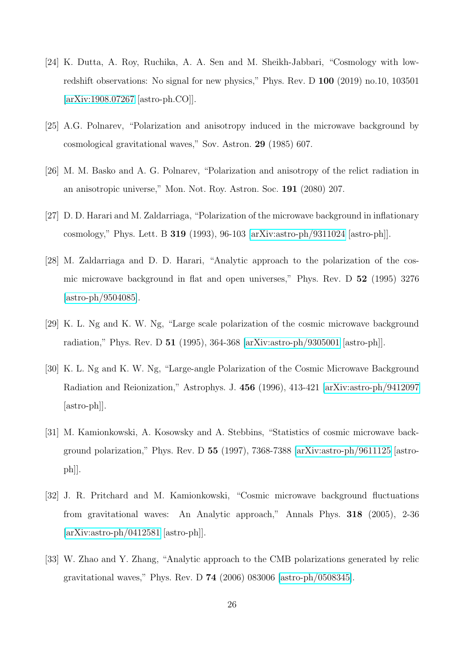- [24] K. Dutta, A. Roy, Ruchika, A. A. Sen and M. Sheikh-Jabbari, "Cosmology with lowredshift observations: No signal for new physics," Phys. Rev. D 100 (2019) no.10, 103501 [\[arXiv:1908.07267](http://arxiv.org/abs/1908.07267) [astro-ph.CO]].
- <span id="page-26-1"></span><span id="page-26-0"></span>[25] A.G. Polnarev, "Polarization and anisotropy induced in the microwave background by cosmological gravitational waves," Sov. Astron. 29 (1985) 607.
- <span id="page-26-2"></span>[26] M. M. Basko and A. G. Polnarev, "Polarization and anisotropy of the relict radiation in an anisotropic universe," Mon. Not. Roy. Astron. Soc. 191 (2080) 207.
- <span id="page-26-3"></span>[27] D. D. Harari and M. Zaldarriaga, "Polarization of the microwave background in inflationary cosmology," Phys. Lett. B 319 (1993), 96-103 [\[arXiv:astro-ph/9311024](http://arxiv.org/abs/astro-ph/9311024) [astro-ph]].
- [28] M. Zaldarriaga and D. D. Harari, "Analytic approach to the polarization of the cosmic microwave background in flat and open universes," Phys. Rev. D 52 (1995) 3276 [\[astro-ph/9504085\]](http://arxiv.org/abs/astro-ph/9504085).
- <span id="page-26-5"></span><span id="page-26-4"></span>[29] K. L. Ng and K. W. Ng, "Large scale polarization of the cosmic microwave background radiation," Phys. Rev. D 51 (1995), 364-368 [\[arXiv:astro-ph/9305001](http://arxiv.org/abs/astro-ph/9305001) [astro-ph]].
- [30] K. L. Ng and K. W. Ng, "Large-angle Polarization of the Cosmic Microwave Background Radiation and Reionization," Astrophys. J. 456 (1996), 413-421 [\[arXiv:astro-ph/9412097](http://arxiv.org/abs/astro-ph/9412097) [astro-ph]].
- <span id="page-26-6"></span>[31] M. Kamionkowski, A. Kosowsky and A. Stebbins, "Statistics of cosmic microwave background polarization," Phys. Rev. D  $55$  (1997), 7368-7388 [\[arXiv:astro-ph/9611125](http://arxiv.org/abs/astro-ph/9611125) [astroph]].
- <span id="page-26-7"></span>[32] J. R. Pritchard and M. Kamionkowski, "Cosmic microwave background fluctuations from gravitational waves: An Analytic approach," Annals Phys. 318 (2005), 2-36 [\[arXiv:astro-ph/0412581](http://arxiv.org/abs/astro-ph/0412581) [astro-ph]].
- <span id="page-26-8"></span>[33] W. Zhao and Y. Zhang, "Analytic approach to the CMB polarizations generated by relic gravitational waves," Phys. Rev. D 74 (2006) 083006 [\[astro-ph/0508345\]](http://arxiv.org/abs/astro-ph/0508345).